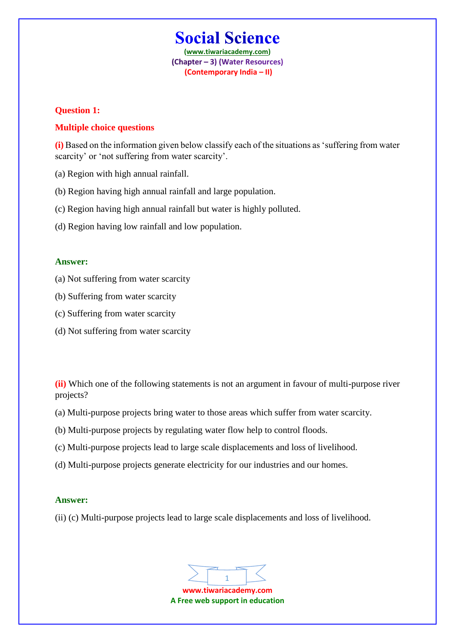# **Social Science**

**(www.tiwariacademy.com)** (Chapter - 3) (Water Resources) **(Contemporary India – II)**

# **Question 1:**

# **Multiple choice questions**

**(i)** Based on the information given below classify each of the situations as 'suffering from water scarcity' or 'not suffering from water scarcity'.

- (a) Region with high annual rainfall.
- (b) Region having high annual rainfall and large population.
- (c) Region having high annual rainfall but water is highly polluted.
- (d) Region having low rainfall and low population.

#### **Answer:**

- (a) Not suffering from water scarcity
- (b) Suffering from water scarcity
- (c) Suffering from water scarcity
- (d) Not suffering from water scarcity

**(ii)** Which one of the following statements is not an argument in favour of multi-purpose river projects?

- (a) Multi-purpose projects bring water to those areas which suffer from water scarcity.
- (b) Multi-purpose projects by regulating water flow help to control floods.
- (c) Multi-purpose projects lead to large scale displacements and loss of livelihood.
- (d) Multi-purpose projects generate electricity for our industries and our homes.

#### **Answer:**

(ii) (c) Multi-purpose projects lead to large scale displacements and loss of livelihood.

1

**www.tiwariacademy.com A Free web support in education**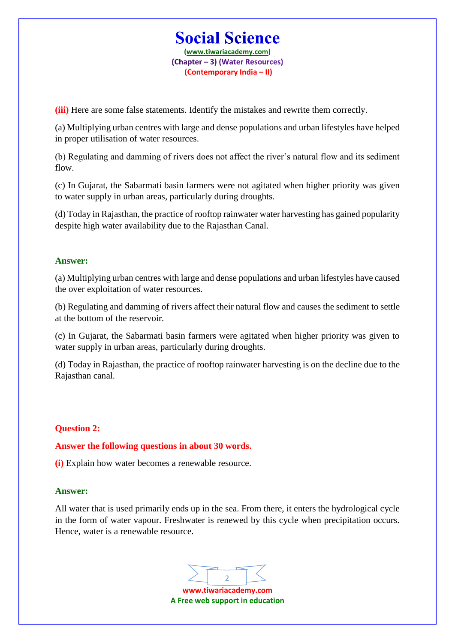# **Social Science**

**(www.tiwariacademy.com)** (Chapter - 3) (Water Resources) **(Contemporary India – II)**

**(iii)** Here are some false statements. Identify the mistakes and rewrite them correctly.

(a) Multiplying urban centres with large and dense populations and urban lifestyles have helped in proper utilisation of water resources.

(b) Regulating and damming of rivers does not affect the river's natural flow and its sediment flow.

(c) In Gujarat, the Sabarmati basin farmers were not agitated when higher priority was given to water supply in urban areas, particularly during droughts.

(d) Today in Rajasthan, the practice of rooftop rainwater water harvesting has gained popularity despite high water availability due to the Rajasthan Canal.

# **Answer:**

(a) Multiplying urban centres with large and dense populations and urban lifestyles have caused the over exploitation of water resources.

(b) Regulating and damming of rivers affect their natural flow and causes the sediment to settle at the bottom of the reservoir.

(c) In Gujarat, the Sabarmati basin farmers were agitated when higher priority was given to water supply in urban areas, particularly during droughts.

(d) Today in Rajasthan, the practice of rooftop rainwater harvesting is on the decline due to the Rajasthan canal.

# **Question 2:**

**Answer the following questions in about 30 words.**

**(i)** Explain how water becomes a renewable resource.

# **Answer:**

All water that is used primarily ends up in the sea. From there, it enters the hydrological cycle in the form of water vapour. Freshwater is renewed by this cycle when precipitation occurs. Hence, water is a renewable resource.

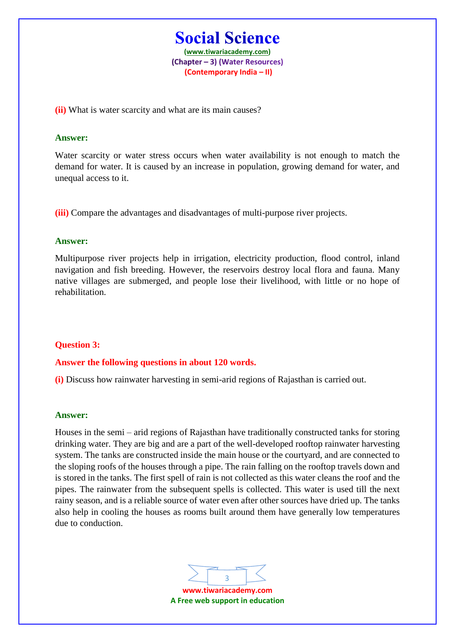**Social Science (www.tiwariacademy.com)** (Chapter - 3) (Water Resources) **(Contemporary India – II)**

**(ii)** What is water scarcity and what are its main causes?

## **Answer:**

Water scarcity or water stress occurs when water availability is not enough to match the demand for water. It is caused by an increase in population, growing demand for water, and unequal access to it.

**(iii)** Compare the advantages and disadvantages of multi-purpose river projects.

## **Answer:**

Multipurpose river projects help in irrigation, electricity production, flood control, inland navigation and fish breeding. However, the reservoirs destroy local flora and fauna. Many native villages are submerged, and people lose their livelihood, with little or no hope of rehabilitation.

# **Question 3:**

#### **Answer the following questions in about 120 words.**

**(i)** Discuss how rainwater harvesting in semi-arid regions of Rajasthan is carried out.

#### **Answer:**

Houses in the semi – arid regions of Rajasthan have traditionally constructed tanks for storing drinking water. They are big and are a part of the well-developed rooftop rainwater harvesting system. The tanks are constructed inside the main house or the courtyard, and are connected to the sloping roofs of the houses through a pipe. The rain falling on the rooftop travels down and is stored in the tanks. The first spell of rain is not collected as this water cleans the roof and the pipes. The rainwater from the subsequent spells is collected. This water is used till the next rainy season, and is a reliable source of water even after other sources have dried up. The tanks also help in cooling the houses as rooms built around them have generally low temperatures due to conduction.